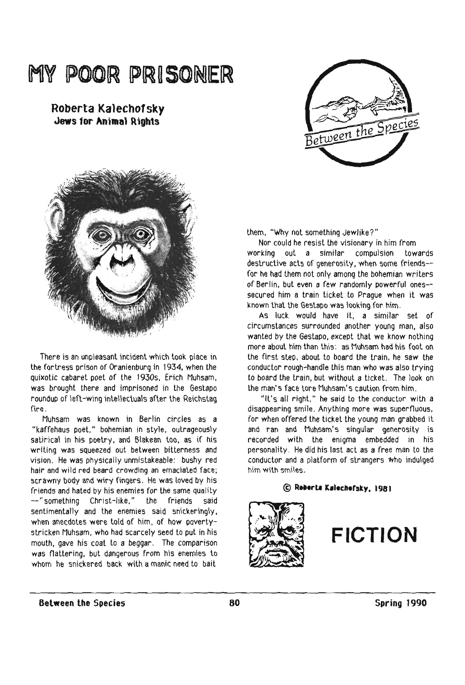## MY POOR PRISONER

## **Roberta Kalechofsky Jews for Animal Rights**





There is an unpleasant incident which took place in the fortress prison of Oranienburg in 1934, when the Quixotic cabaret poet of the 19305, Erich Muhsam, was brought there and imprisoned in the Gestapo roundup of left-wing intellectuals after the Reichstag fire.

Muhsam was known in Berlin circles as a "kaffehaus poet," bohemian in style, outrageously satirical in his poetry, and Blakean too, as if his writing was squeezed out between bitterness and vision. He was physically unmistakeable: bushy red hair and wild red beard crowding an emaciated face; scrawny body and wiry fingers. He was loved by his friends and hated by his enemies for the same quality --" something Christ-like." the friends said sentimentally and the enemies said snickeringly, when anecdotes were told of him, of how povertystricken Muhsam. who had scarcely seed to put in his mouth, gave his coat to a beggar. The comparison was flattering. but dangerous from his enemies to whom he snickered back with a manic need to bait

them, "Why not something Jewlike?"

Nor could he resist the visionary in him from working out a similar compulsion towards destructive acts of generosity. when some friends- for he had them not only among the bohemian writers of Berlin, but even a few randomly powerful ones- secured him a train ticket to Prague when it was known that the Gestapo was looking for him.

As luck would have it, a similar set of circumstances surrounded another young man, also wanted by the Gestapo, except that we know nothing more about him than this: as Muhsam had his foot on the first step, about to board the train, he saw the conductor rough-handle this man who was also trying to board the train, but without a ticket. The look on the man's face tore Muhsam's caution from him.

"It's all right," he said to the conductor With a disappearing smile. Anything more was superfluous, for when offered the ticket the young man grabbed it and ran and Muhsam's singular generosity is recorded with the enigma embedded in his personality. He did his last act as a free man to the conductor and a platform of strangers Who indulged him with smiles.

## $©$  Reberta Kalechefsky, 1981



**FICTION**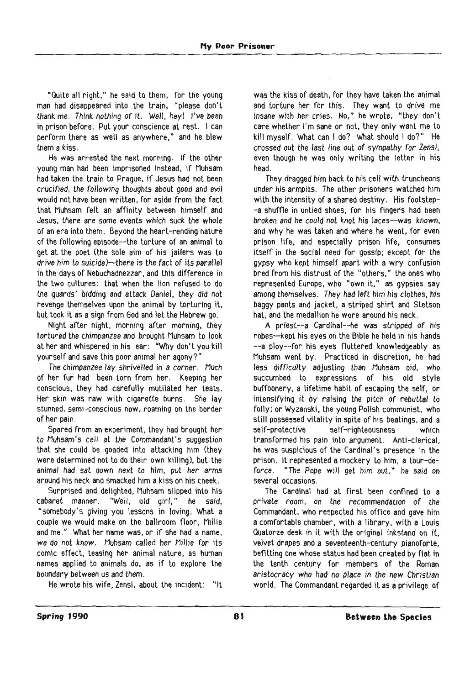"Quite all right," he said to them, for the young man had disappeared into the train, "please don't thank me. Think nothing of it. Well, hey! I've been in prison before. Put your conscience at rest. I can perform there as well as anywhere," and he blew them a kiss.

He was arrested the next morning. If the other young man had been imprisoned instead, if Muhsam had taken the train to Prague, if Jesus had not been crucified. the following thoughts about good and evil would not have been written, for aside from the fact that Muhsam felt an affinity between himself and Jesus, there are some events which suck the whole of an era into them. Beyond the heart-rending nature of the following episode--the torture of an animal to get at the poet (the sole aim of his jailers was to drive him to suicide)--there is the fact of its parallel in the days of Nebuchadnezzar, and this difference in the two cultures: that when the lion refused to do the guards' bidding and attack Daniel, they did not revenge themselves upon the animal by torturing it, but took it as a sign from God and let the Hebrew go.

Night after night. morning after morning, they tortured the chimpanzee and brought Muhsam to look at her and whispered in his ear: "Why don't you kill yourself and save this poor animal her agony?"

The chimpanzee lay shrivelled in a corner. Much of her fur had been torn from her. Keeping her conscious, they had carefully mutilated her teats. Her skin was raw with cigarette burns. She lay stunned, semi-conscious now, roaming on the border of her pain.

Spared from an experiment, they had brought her to Muhsam's cell at the Commandant's suggestion that she could be goaded into attacking him (they were determined not to do their own killing), but the animal had sat down next to him, put her arms around his neck and smacked him a kiss on his cheek.

Surprised and delighted, Muhsam slipped into his cabaret manner. "Well, old girl," he said, "somebody's giving you lessons in loving. What a couple we would make on the ballroom floor. Millie and me." What her name was, or if she had a name, we do not know. Muhsam called her Millie for its comic effect, teasing her animal nature, as human names applied to animals do, as if to explore the boundary between us and them.

He wrote his wife, Zensl, about the incident: "It

was the kiss of death, for they have taken the animal and torture her for this. They want to drive me insane with her cries. No," he wrote, "they don't care whether I'm sane or not, they only want me to kill myself. What can I do? What should I do?" He crossed out the last line out of sympathy for Zensl, even though he was only writing the letter in his head.

They dragged him back to his cell with truncheons under his armpits. The other prisoners watched him with the intensity of a shared destiny. His footstep-  $-a$  shuffle in untied shoes, for his finger's had been broken and he could not knot his laces--was known. and why he was taken and where he went, for even prison life. and especially prison life, consumes itself in the social need for gossip; except for the gypsy who kept himself apart with a wry confusion bred from his distrust of the "others." the ones who represented Europe, who "own it," as gypsies say among themselves. They had left him his clothes, his baggy pants and jacket, a striped shirt and Stetson hat, and the medallion he wore around his neck.

A priest--a Cardinal--he was stripped of his robes--kept his eyes on the Bible he held in his hands --a ploy--for his eyes fluttered knowledgeably as Muhsam went by. Practiced in discretion, he had less difficulty adjusting than Muhsam did, who succumbed to expressions of his old style buffoonery, a lifetime habit of escaping the self, or intensifying it by raising the pitch of rebuttal Lo folly; or Wyzanski, the young Polish communist, who still possessed vitality in spite of his beatings, and a self-protective self-righteousness which transformed his pain into argument. Anti-clerical. he was suspicious of the Cardinal's presence in the prison. It represented a mockery to him, a tour-deforce. "The Pope will get him out," he said on several occasions.

The Cardinal had at first been confined to a private room, on the recommendation of the Commandant, who respected his office and gave him a comfortable chamber, with a library, with a Louis Quatorze desk in it with the original inkstand on it, velvet drapes and a seventeenth-century pianoforte, befitting one whose status had been created by fiat in the tenth century for members of the Roman aristocracy who had no place in the new Christian world. The Commandant regarded it as a privilege of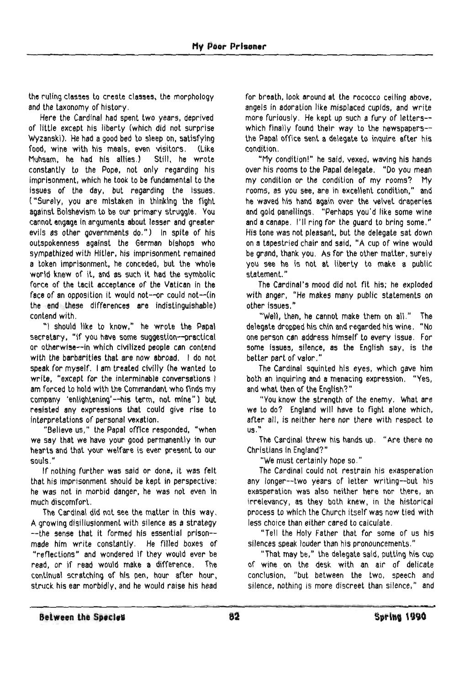the ruling classes to create classes. the morphology and the taxonomy of history,

Here the Cardinal had spent two years. deprived of lillie except his liberty (which did not surprise Wyzanski). He had a good bed to sleep on, satisfying food, wine with his meals. even visitors. (Like Muhsam, he had his allies.) Still. he wrote constantly to the Pope, not only regarding his imprisonment. which he took to be fundamental to the issues of the day, but regarding the issues. ("Surely, you are mistaken in thinking the fight against Bolshevism to be our primary struggle, You cannot engage in arguments about lesser and greater evils as other governments do,") In spite of his outspokenness against the German bishops who sympathized with Hitler. his imprisonment remained a token imprisonment. he conceded. but the whole world knew of it, and as such it had the symbolic force of the tacit acceptance of the Vatican in the face of an opposition it would not--or could not--(jn the end these differences are indistinguishable) contend with.

'" should like to know." he wrote the Papal secretary. "If you have some suggestion--practical or olherwise--in which civilized people can contend with the barbarities that are now abroad. I do not speak for myself. I am treated civilly (he wanted to write. "except for the interminable conversations I am forced to hold with the Commandant who finds my company 'enlightening'--his term, not mine") but resisted any expressions that could give rise to interpretations of personal vexation.

"Believe us." the Papal office responded. "when we say that we have your good permanently in our hearts and that your welfare is ever present to our souls."

If nothing further was said or done. it was felt that his imprisonment should be kept in perspective: he was not in morbid danger. he was not even in much discomfort.

The Cardinal did not see the matter in this way. A growing disillusionment with silence as a strategy --the sense that it formed his essential prison- made him write constantly, He filled boxes of "reflections" and wondered if they would ever be read. or if read would make a difference. The continual scratching of his pen. hour after hour, struck his ear morbidly, and he would raise his head for breath, look around at the rococco ceiling above. angels in adoration like misplaced cupids. and write more furiously. He kept up such a fury of letters- which finally found their way to the newspapers-the Papal office sent a delegate to inquire after his condition,

"My condition!" he said, vexed. waving his hands over his rooms to the Papal delegate. "Do you mean my condition or the condition of my rooms'? My rooms. as you see. are in excellent condition." and he waved his hand again over the velvet draperies and gold panellings. "Perhaps you'd like some wine and a canape. I'll ring for the guard to bring some." His tone was not pleasant, but the delegate sat down on a tapestried chair and said. "A cup of wine would be grand. thank you. As for the other matter, surely you see he is not at liberty to make a public statement. "

The Cardinal's mood did not fit his; he exploded with anger, "He makes many public statements on other issues."

"Well. then, he cannot make them on aIL" The delegate dropped his chin and regarded his wine. "No one person can address himself to every issue. For some issues. silence, as the English say, is the better part of valor."

The Cardinal squinted his eyes, which gave him both an inquiring and a menacing expression. "Yes, and what then of the English'?"

"You know the strength of the enemy. What are we to do'? England will have to fight alone which. after all. is neither here nor there with respect to us,"

The Cardinal threw his hands up. "Are there no Christians in England'?"

"We must certainly hope so,"

The Cardinal could not restrain his exasperation any longer--two years of lelter writing--but his exasperation was also neither here nor there, an irrelevancy. as they both knew, in the historical process to which the Church itself was now tied with less choice than either cared to calculate,

"Tell the Holy Father that for some of us his silences speak louder than his pronouncements,"

"That may be," the delegate said, putting his cup of wine. on the desk with an air of delicate conclusion, "but between the two, speech and silence, nothing is more discreet than silence." and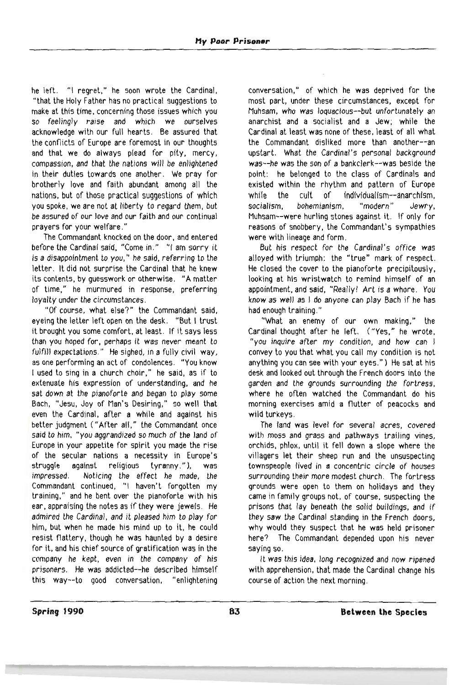he left. "I regret," he soon wrote the Cardinal, "that the Holy Father has no practical suggestions to make at this time. concerning those issues which you so feelingly raise and which we ourselves acknowledge with our full hearts. Be assured that the conflicts of Europe are foremost in our thoughts and that we do always plead for pity, mercy, compassion, and that the nations will be enlightened in their duties towards one another. We pray for brotherly love and faith abundant among all the nations. but of those practical suggestions of which you spoke. we are not at liberty to regard them. but be assured of our love and our faith and our continual prayers for your welfare."

The Commandant knocked on the door. and entered before the Cardinal said, "Come in." "I am sorry it is a disappointment to you." he said, referring to the letter. It did not surprise the Cardinal that he knew its contents, by guesswork or otherwise. "A matter of time." he murmured in response, preferring loyalty under the circumstances.

"Of course, what else?" the Commandant said. eyeing the letter left open on the desk. "But I trust it brought you some comfort. at least. If it says Jess than you hoped for, perhaps it was never meant to fulfill expectations." He sighed, in a fully civil way, as one performing an act of condolences. "You know I used to sing in a church choir," he said, as if to extenuate his expression of understanding, and he sat down at the pianoforte and began to play some Bach, "Jesu, Joy of Man's Desiring," so well that even the Cardinal, after a while and against his better judgment ( "After all." the Commandant once said to him. "you aggrandized so much of the land of Europe in your appetite for spirit you made the rise of the secular nations a necessity in Europe's struggle against religious tyranny."), was impressed. Noticing the effect he made, the Commandant continued, "I haven't forgotten my training." and he bent over the pianoforte with his ear. appraising the notes as if they were jewels. He admired the Cardinal, and it pleased him to play for him, but when he made his mind up to it, he could resist flattery, though he was haunted by a desire for it. and his chief source of gratification was in the company he kept, even in the company of his prisoners. He was addicted--he described himself this way--to good conversation. "enlightening

conversation." of which he was deprived for the most part, under these circumstances, except for Muhsam. who was loquacious--but unfortunately an anarchist and a socialist and a Jew; while the Cardinal at least was none of these. least of all what the Commandant disliked more than another--an upstart. What the Cardinal's personal background was--he was the son of a bankclerk--was beside the point: he belonged to the class of Cardinals and existed within the rhythm and pattern of Europe while the cult of individualism--anarchism. socialism. bohemianism. "modern" Jewry, Muhsam--were hurling stones against it. If only for reasons of snobbery. the Commandant's sympathies were with lineage and form.

But his respect for the Cardinal's office was alloyed with triumph: the "true" mark of respect. He closed the cover to the pianoforte precipitously. looking at his wristwatch to remind himself of an appointment, and said. "Really! Art is a whore. You know as well as 1 do anyone can play Bach if he has had enough training."

"What an enemy of our own making." the Cardinal thought after he left. ("Yes." he wrote. "you inquire after my condition, and how can I convey to you that what you call my condition is not anything you can see with your eyes.") He sat at his desk and looked out through the French doors into the garden and the grounds surrounding the fortress. where he often watched the Commandant do his morning exercises amid a flutter of peacocks and wild turkeys.

The land was level for several acres, covered with moss and grass and pathways trailing vines, orchids. phlox, until it fell down a slope where the villagers let their sheep run and the unsuspecting townspeople lived in a concentric circle of houses surrounding their more modest church. The fortress grounds were open to them on holidays and they came in family groups not. of course. suspecting the prisons that lay beneath the solid buildings, and if they saw the Cardinal standing in the French doors. why would they suspect that he was held prisoner here? The Commandant depended upon his never saying so.

It was this idea, long recognized and now ripened with apprehension. that made the Cardinal change his course of action the next morning.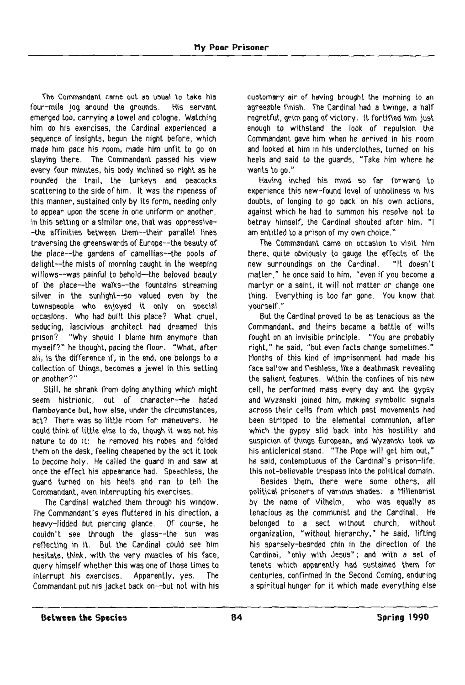The Commandant came out as usual to take his four-mile jog around the grounds. His servant emerged too, carrying a towel and cologne. Watching him do his exercises, the Cardinal experienced a sequence of insights. begun the night before, which made him pace his room, made him unfit to go on staying there. The Commandant passed his view every four minutes. his body inclined so right as he rounded the trail. the turkeys and peacocks scattering to the side of him. It was the ripeness of this manner, sustained only by its form, needing only to appear upon the scene in one uniform or another, in this setting or a similar one, that was oppressive- -the affinities between them--their parallel lines traversing the greenswards of Europe--the beauty of the place--the gardens of camellias--the pools of delight--the mists of morning caught in the weeping willows--was painful to behold--the beloved beauty of the place--the walks--the fountains streaming silver in the sunlight--so valued even by the townspeople who enjoyed it only on special occasions. Who had built this place? What cruel, seducing. lascivious architect had dreamed this prison? "Why should I blame him anymore than myself?" he thought, pacing the floor. "What, after all, is the difference if, in the end, one belongs to a collection of things, becomes a jewel in this setting or another?"

Still. he shrank from doing anything which might seem histrionic, out of character--he hated flamboyance but, how else, under the circumstances, act? There was so little room for manewers. He could think of little else to do, though it was not his nature to do it: he removed his robes and folded them on the desk, feeling cheapened by the act it took to become holy. He called the guard in and saw at once the effect his appearance had. Speechless, the guard turned on his heels and ran to tell the Commandant, even interrupting his exercises.

The Cardinal watched them through his window. The Commandant's eyes fluttered in his direction, a heavy-lidded but piercing glance. Of course, he couldn't see through the glass--the sun was reflecting in it. But the Cardinal could see him hesitate, think, with the very muscles of his face, Query himself whether this was one of those times to interrupt his exercises. Apparently. yes. The Commandant put his jacket back on--but not with his customary air of having brought the morning to an agreeable finish. The Cardinal had a twinge, a half regretful, grim pang of victory. It fortified him just enough to withstand the look of repulsion the Commandant gave him when he arrived in his room and looked at him in his underclothes, turned on his heels and said to the guards, "Take him where he wants to go."

Having inched his mind so far forward to experience this new-found level of unholiness in his doubts, of longing to go back on his own actions, against which he had to summon his resolve not to betray himself, the Cardinal shouted after him. "I am entitled to a prison of my own choice."

The Commandant came on occasion to visit him there, quite obviously to gauge the effects of the new surroundings on the Cardinal. "It doesn't matter," he once said to him, "even if you become a martyr or a saint, it will not matter or change one thing. Everything is too far gone. You know that yourself."

But the Cardinal proved to be as tenacious as the Commandant, and theirs became a battle of wills fought on an invisible principle. "You are probably right," he said, "but even facts change sometimes." Months of this kind of imprisonment had made his face sallow and fleshless, like a deathmask revealing the salient features. Within the confines of his new cell, he performed mass every day and the gypsy and Wyzanski joined him, making symbolic signals across their cells from which past movements had been stripped to the elemental communion, after which the gypsy slid back into his hostility and suspicion of things European, and Wyzanski took up his anticlerical stand. "The Pope will get him out," he said. contemptuous of the Cardinal's prison-life. this not-believable trespass into the political domain.

Besides them, there were some others, all political prisoners of various shades: a MiHenarist by the name of Vilhelm, who was equally as tenacious as the communist and the Cardinal. He belonged to a sect without church. without organization, "without hierarchy," he said, lifting his sparsely-bearded chin in the direction of the Cardinal, "only with Jesus"; and with a set of tenets which apparently had sustained them for centuries. confirmed in the Second Coming. enduring a spiritual hunger for it which made everything else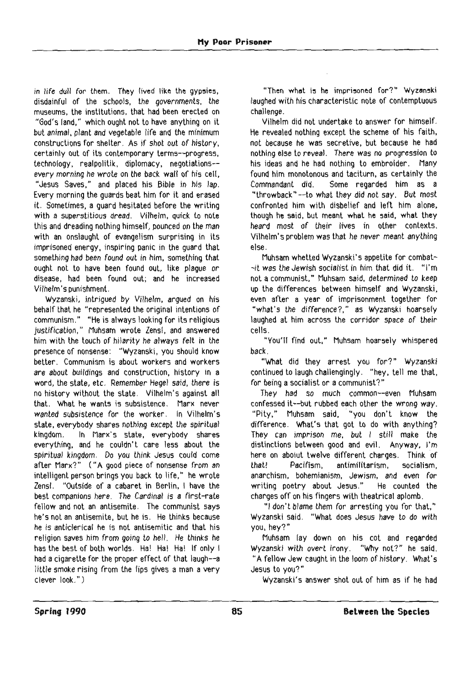in life dull for them. They lived like the gypsies, disdainful of the schools, the governments, the museums, the institutions, that had been erected on "God's land," which ought not to have anything on it but animal, plant and vegetable life and the minimum constructions for shelter. As if shot out of history, certainly out of its contemporary terms--progress, technology, realpolitik, diplomacy, negotiations- every morning he wrote on the back wall of his cell, "Jesus Saves," and placed his Bible in his lap. Every morning the guards beat him for it and erased it. Sometimes, a guard hesitated before the writing with a superstitious dread. Vilhelm, quick to note this and dreading nothing himself, pounced on the man with an onslaught of evangelism surprising in its imprisoned energy, inspiring panic in the guard that something had been found out in him, something that ought not to have been found out, like plague or disease, had been found out; and he increased Vilhelm's punishment.

Wyzanski, intrigued by Vilhelm, argued on his behalf that he "represented the original intentions of communism." "He is always looking for its religious justification," Muhsam wrote Zensl, and answered him with the touch of hilarity he always felt in the presence of nonsense: "Wyzanski, you should know better. Communism is about workers and workers are about buildings and construction, history in a word, the state, etc. Remember Hegel said, there is no history without the state. Vilhelm's against all that. What he wants is subsistence. Marx never wanted subsistence for the worker. In Vilhelm's state, everybody shares nothing except the spiritual kingdom. In Marx's state, everybody shares everything, and he couldn't care less about the spiritual kingdom. Do you think Jesus could come afler Marx?" ( "A good piece of nonsense from an intelligent person brings you back to life," he wrote Zens!. "Outside of a cabaret in Berlin, I have the best companions here. The Cardinal is a first-rate fellow and not an antisemite. The communist says he's not an antisemite, but he is. He thinks because he is anticlerical he is not antisemitic and that his religion saves him from going to hell. He thinks he has the best of both worlds. Ha! Ha! Ha! If only I had a cigarette for the proper effect of that laugh--a little smoke rising from the lips gives a man a very clever look.")

"Then what is he imprisoned for?" Wyzanski laughed with his characteristic note of contemptuous challenge.

Vilhelm did not undertake to answer for himself. He revealed nothing except the scheme of his faith, not because he was secretive, but because he had nothing else to reveal. There was no progression to his ideas and he had nothing to embroider. Many found him monotonous and taciturn, as certainly the Commandant did. Some regarded him as a "throwback" --to what they did not say. But most confronted him with disbelief and left him alone, though he said, but meant what he said, what they heard most of their lives in other contexts. Vilhelm's problem was that he never meant anything else.

Muhsam whetted Wyzanski's appetite for combat- -it was the Jewish socialist in him that did it. "I'm not a communist," Muhsam said, determined to keep up the differences between himself and Wyzanski, even after a year of imprisonment together for "what's the difference?," as Wyzanski hoarsely laughed at him across the corridor space of their cells.

"You'll find out," Muhsam hoarsely whispered back.

"What did they arrest you for?" Wyzanski continued to laugh challengingly. "hey, tell me that, for being a socialist or a communist?"

They had so much common--even Muhsam confessed it--but rubbed each other the wrong way. "Pity," Muhsam said, "you don't know the difference. What's that got to do with anything? They can imprison me. but I still make the distinctions between good and evil. Anyway, I'm here on aboiut twelve different charges. Think of that! Pacifism, antimilitarism, socialism, anarchism, bohemianism. Jewism, and even for writing poetry about Jesus." He counted the charges off on his fingers with theatrical aplomb.

"I don't blame them for arresting you for that," Wyzanski said. "What does Jesus have to do with you, hey?"

Muhsam lay down on his cot and regarded Wyzanski with overt irony. "Why not?" he said. "A fellow Jew caught in the loom of history. What's Jesus to you?"

Wyzanski's answer shot out of him as if he had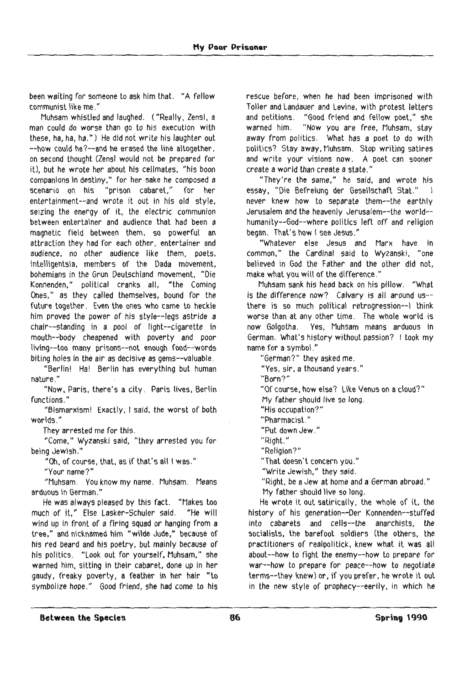been waiting for someone to ask him that. "A fellow communist like me."

Muhsam whistled and laughed. ("Really, Zensl, a man could do worse than go to his execution with these, ha, ha, ha.") He did not write his laughter out --how could he?--and he erased the line altogether, on second thought (Zensl would not be prepared for it), but he wrote her about his cellmates, "his boon companions in destiny," for her sake he composed a scenario on his "prison cabaret," for her entertainment--and wrote it out in his old style, seizing the energy of it, the electric communion between entertainer and audience that had been a magnetic field between them, so powerful an attraction they had for each other, entertainer and audience, no other audience like them, poets, intelligentsia, members of the Dada movement, bohemians in the Grun Deutschland movement, "Die Konnenden," political cranks all, "the Coming Ones," as they called themselves, bound for the future together. Even the ones who came to heckle him proved the power of his style--Iegs astride a chair--standing in a pool of Iight--cigarette in mouth--body cheapened with poverty and poor living--too many prisons--not enough food--words biting holes in the air as decisive as gems--valuable.

"Berlin! Ha! Berlin has everything but human nature. "

"Now, Paris, there's a city. Paris lives, Berlin functions."

"Bismarxism! Exactly, I said, the worst of both worlds."

They arrested me for this.

"Come," Wyzanski said, "they arrested you for being Jewish."

"Oh, of course, that, as if that's all I was." "Your name?"

"Muhsam. You know my name. Muhsam. Means arduous in German."

He was always pleased by this fact. "Makes too much of it," Else Lasker-Schuler said. "He will wind up in front of a firing squad or hanging from a tree," and nicknamed him "wilde Jude," because of his red beard and his poetry, but mainly because of his politics. "Look out for yourself, Muhsam," she warned him, sitting in their cabaret, done up in her gaudy, freaky poverty, a feather in her hair "to symbolize hope." Good friend, she had come to his

rescue before, when he had been imprisoned with Toller and Landauer and Levine, with protest letters and petitions. "Good friend and fellow poet," she warned him. "Now you are free, Muhsam, stay away from politics. What has a poet to do with politics? Stay away, Muhsam. Stop writing satires and write your visions now. A poet can sooner create a world than create a state."

"They're the same," he said, and wrote his essay, "Die Befreiung der Gesellschaft Stat." I never knew how to separate them--the earthly Jerusalem and the heavenly Jerusalem--the world- humanity--God--where politics left off and religion began. That's how I see Jesus."

"Whatever else Jesus and Marx have in common," the Cardinal said to Wyzanski, "one believed in God the Father and the other did not, make what you will of the difference."

Muhsam sank his head back on his pillow. "What is the difference now? Calvary is all around us- there is so much political retrogression--I think worse than at any other time. The whole world is now Golgotha. Yes, Muhsam means arduous in German. What's history without passion? I took my name for a symbol."

"German?" they asked me.

"Yes, sir, a thousand years."

"Born?"

"Of course, how else? like Venus on a cloud?"

My father should live so long.

"His occupation?"

- "Pharmacist. "
- "Put down Jew."
- "Right. "
- "Religion?"

"That doesn't concern you."

"Write Jewish," they said.

"Right, be a Jew at home and a German abroad."

My father should live so long.

He wrote it out satirically, the whole of it, the history of his generation--Der Konnenden--stuffed into cabarets and cells--the anarchists, the socialists, the barefoot soldiers (the others, the practitioners of realpolitick , knew what it was all about--how to fight the enemy--how to prepare for war--how to prepare for peace--how to negotiate terms--they knew) or, if you prefer, he wrote it out in the new style of prophecy--eerily, in which he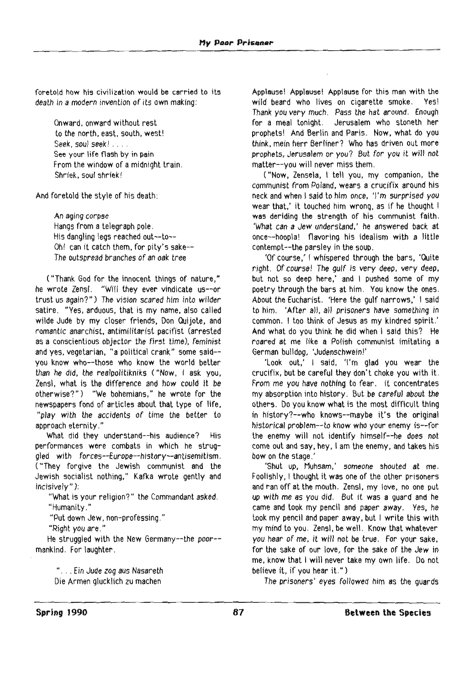foretold how his civilization would be carried to its death in a modern invention of its own making:

Onward, onward without rest to the north, east, south, west! Seek, soul seek! . . . . See your life flash by in pain From the window of a midnight train. Shriek, soul shriek!

And foretold the style of his death:

An aging corpse Hangs from a telegraph pole. His dangling legs reached out--to-- Oh! can it catch them, for pity's sake-- The outspread branches of an oak tree

( "Thank God for the innocent things of nature," he wrote Zensl. "Will they ever vindicate us--or trust us again?") The vision scared him into wilder satire. "Yes, arduous, that is my name, also called wilde Jude by my closer friends, Don Quijote, and romantic anarchist, antimilitarist pacifist (arrested as a conscientious objector the first time), feminist and yes, vegetarian, "a political crank" some said- you know who--those who know the world better than he did, the realpolitikniks ("Now, I ask you, Zensl, what is the difference and how could it be otherwise?") "We bohemians," he wrote for the newspapers fond of articles about that type of life, "play with the accidents of time the better to approach eternity."

What did they understand--his audience? His performances were combats in which he struggled with forces--Europe--history--antisemitism. ("They forgive the Jewish communist and the Jewish socialist nothing," Kafka wrote gently and incisively" ):

"What is your religion?" the Commandant asked. "Humanity."

"Put down Jew, non-professing. "

"Right you are."

He struggled with the New Germany--the poor- mankind. For laughter.

" ... Ein Jude zog aus Nasareth Die Arman glucklich zu machen

Applause! Applause! Applause for this man with the wild beard who lives on cigarette smoke. Yes! Thank you very much. Pass the hat around. Enough for a meal tonight. Jerusalem who stoneth her prophets! And Berlin and Paris. Now, what do you think, mein herr Berliner? Who has driven out more prophets, Jerusalem or you? But for you it will not matter--you will never miss them.

("Now, Zensela, I tell you, my companion, the communist from Poland, wears a crucifix around his neck and when I said to him once, 'I'm surprised you wear that,' it touched him wrong, as if he thought I was deriding the strength of his communist faith. 'What can a Jew understand,' he answered back at once--hoopla! flavoring his idealism with a little contempt--the parsley in the soup.

'Of course,' I whispered through the bars, 'Quite right. Of course! The gulf is very deep, very deep, but not so deep here,' and I pushed some of my poetry through the bars at him. You know the ones. About the Eucharist. 'Here the gulf narrows,' I said to him. 'After all, all prisoners have something in common. I too think of Jesus as my kindred spirit.' And what do you think he did when I said this? He roared at me like a Polish communist imitating a German bulldog, 'Judenschwein!'

'Look out,' I said, 'I'm glad you wear the crucifix, but be careful they don't choke you with it. From me you have nothing to fear. It concentrates my absorption into history. But be careful about the others. Do you know what is the most difficult thing in history?--who knows--maybe it's the original historical problem--to know who your enemy is--for the enemy will not identify himself--he does not come out and say, hey, I am the enemy, and takes his bow on the stage.'

'Shut up, Muhsam,' 50meone shouted at me. Foolishly, I thought it was one of the other prisoners and ran off at the mouth. Zensl, my love, no one put up with me as you did. But it was a guard and he came and took my pencil and paper away. Yes, he took my pencil and paper away, but I write this with my mind to you. Zensi, be well. Know that whatever you hear of me, it will not be true. For your sake, for the sake of our love, for the sake of the Jew in me, know that I will never take my own life. Do not believe it, if you hear it.")

The prisoners' eyes followed him as the guards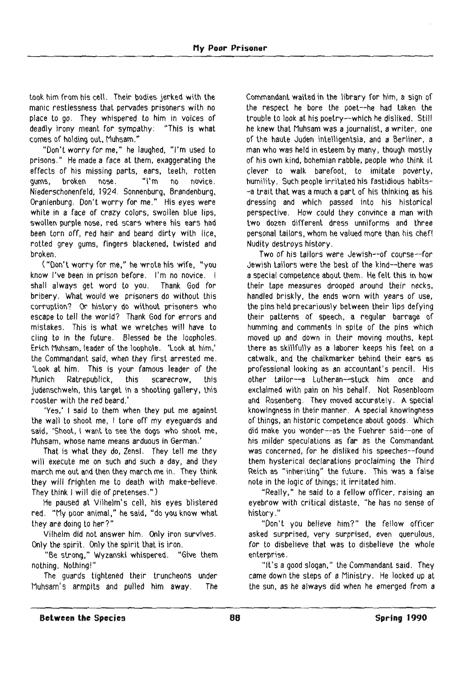took him from his cell. Their bodies jerked with the manic restlessness that pervades prisoners with no place to go. They whispered to him in voices of deadly irony meant for sympathy: "This is what comes of holding out, Muhsam."

"Don't worry for me," he laughed, "I'm used to prisons." He made a face at them, exaggerating the effects of his missing parts, ears, teeth, rotten gums, broken nose. "I'm no novice. Niederschonenfeld, 1924. Sonnenburg, Brandenburg, Oranienburg. Don't worry for me." His eyes were white in a face of crazy colors, swollen blue lips, swollen purple nose, red scars where his ears had been torn off, red hair and beard dirty with lice, rotted grey gums, fingers blackened, twisted and broken.

("Don't worry for me," he wrote his wife, "you know I've been in prison before. I'm no novice. I shall always get word to you. Thank God for bribery. What would we prisoners do without this corruption? Or history do without prisoners who escape to tell the world? Thank God for errors and mistakes. This is what we wretches will have to cling to in the future. Blessed be the loopholes. Erich Muhsam, leader of the loophole. 'Look at him,' the Commandant said. when they first arrested me. 'Look at him. This is your famous leader of the Munich Ratrepublick, this scarecrow, this judenschwein, this target in a shooting gallery, this rooster with the red beard.'

'Yes: I said to them when they put me against the wall to shoot me, I tore off my eyeguards and said. 'Shoot, I want to see the dogs who shoot me, Muhsam, whose name means arduous in German.'

That is what they do, Zensl. They tell me they will execute me on such and such a day, and they march me out and then they march me in. They think they will frighten me to death with make-believe. They think I will die of pretenses." )

He paused at Vilhelm's cell, his eyes blistered red. "My poor animal," he said, "do you know what they are doing to her?"

Vilhelm did not answer him. Only iron survives. Only the spirit. Only the spirit that is iron.

"Be strong," Wyzanski whispered. "Give them nothing. Nothing!"

The guards tightened their truncheons under Muhsam's armpits and pulled him away. The Commandant waited in the library for him, a sign of the respect he bore the poet--he had taken the trouble to look at his poetry--which he disliked. Still he knew that Muhsam was a journalist, a writer, one of the haute Juden intelligentsia, and a Berliner, a man who was held in esteem by many, though mostly of his own kind, bohemian rabble, people who think it clever to walk barefoot, to imitate poverty, humility. Such people irritated his fastidious habits- -a trait that was a much a part of his thinking as his dressing and which passed into his historical perspective. How could they convince a man with two dozen different dress unniforms and three personal tailors, whom he valued more than his chef! Nudity destroys history.

Two of his tailors were Jewish--of course--for Jewish tailors were the best of the kind--there was a special competence about them. He felt this in how their tape measures drooped around their necks, handled briskly, the ends worn with years of use, the pins held precariously between their lips defying their patterns of speech, a regular barrage of humming and comments in spite of the pins which moved up and down in their moving mouths. kept there as skillfully as a laborer keeps his feet on a catwalk, and the chalkmarker behind their ears as professional looking as an accountant's pencil. His other tailor--a Lutheran--stuck him once and exclaimed with pain on his behalf. Not Rosenbloom and Rosenberg. They moved accurately. A special knowingness in their manner. A special knowingness of things, an historic competence about goods. Which did make you wonder--as the Fuehrer said--one of his milder speculations as far as the Commandant was concerned, for he disliked his speeches--found them hysterical declarations proclaiming the Third Reich as "inheriting" the future. This was a false note in the logic of things; it irritated him.

"Really," he said to a fellow officer, raising an eyebrow with critical distaste. "he has no sense of history."

"Don't you believe him?" the fellow officer asked surprised, very surprised, even querulous, for to disbelieve that was to disbelieve the whole enterprise.

"'t's a good slogan," the Commandant said. They came down the steps of a Ministry. He looked up at the sun, as he always did when he emerged from a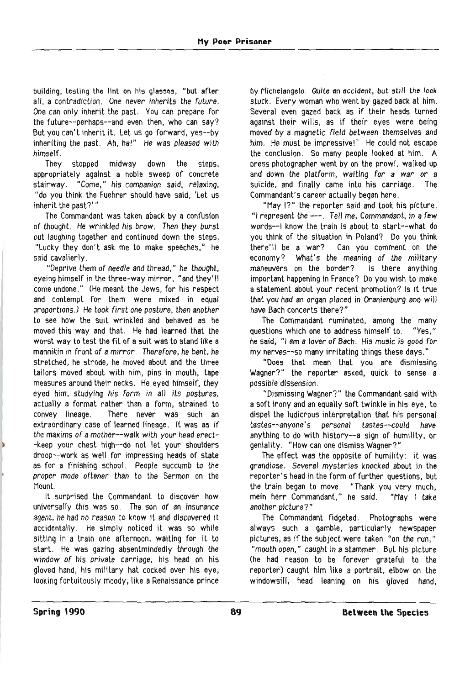building, testing the lint on his glasses, "but after all, a contradiction. One never inherits the future. One can only inherit the past. You can prepare for the future--perhaps--and even then, who can say? But you can't inherit it. let us go forward, yes--by inheriting the past. Ah. ha'" He was pleased with himself.

They stopped midway down the steps. appropriately against a noble sweep of concrete stairway. "Come," his companion said, relaxing, "do you think the Fuehrer should have said, 'let us inherit the past?'"

The Commandant was taken aback by a confusion of thought. He wrinkled his brow. Then they burst out laughing together and continued down the steps. "lucky they don't ask me to make speeches," he said cavalierly.

"Deprive them of needle and thread," he thought, eyeing himself in the three-way mirror, "and they'll come undone." (He meant the Jews, for his respect and contempt for them were mixed in equal proportions,) He took first one posture, then another to see how the suit wrinkled and behaved as he moved this way and that. He had learned that the worst way to test the fit of a suit was to stand like a mannikin in front of a mirror. Therefore, he bent, he stretched, he strode, he moved about and the three tailors moved about with him, pins in mouth, tape measures around their necks. He eyed himself, they eyed him, studying his form in all its postures, actually a format rather than a form, strained to convey lineage. There never was such an extraordinary case of learned lineage. It was as if the maxims of a mother--walk with your head erect- -keep your chest high--do not let your shoulders droop--work as well for impressing heads of state as for a finishing school. People succumb to the proper mode oftener than to the Sermon on the Mount.

It surprised the Commandant to discover how universally this was so. The son of an insurance agent, he had no reason to know it and discovered it accidentally. He simply noticed it was so while sitting in a train one afternoon, waiting for it to start. He was gazing absentmindedly through the window of his private carriage, his head on his gloved hand, his military hat cocked over his eye, looking fortuitously moody, like a Renaissance prince

by Michelangelo. Quite an accident, but still the look stuck. Every woman who went by gazed back at him. Several even gazed back as if their heads turned against their wills, as if their eyes were being moved by a magnetic field between themselves and him. He must be impressive! $\tilde{ }$  He could not escape the conclusion. So many people looked at him. A press photographer went by on the prowl, walked up and down the platform, waiting for a war or a suicide, and finally came into his carriage. The Commandant's career actually began here.

"May I?" the reporter said and took his picture. "I represent the ---. Tell me, Commandant, in a few words--I know the train is about to start--what do you think of the situation in Poland? Do you think there'll be a war? Can you comment on the economy? What's the meaning of the military maneuvers on the border? Is there anything important happening in France? Do you wish to make a statement about your recent promotion? Is it true that you had an organ placed in Oranienburg and will have Bach concerts there?"

The Commandant ruminated, among the many questions which one to address himself to. "Yes," he said. "I am a lover of Bach. His music is good for my nerves--so many irritating things these days."

"Does that mean that you are dismissing Wagner?" the reporter asked, quick to sense a possible dissension.

"Dismissing Wagner?" the Commandant said with a soft irony and an equally soft twinkle in his eye, to dispel the ludicrous interpretation that his personal personal tastes--could have anything to do with history--a sign of humility, or geniality. "How can one dismiss Wagner?"

The effect was the opposite of humility: it was grandiose. Several mysteries knocked about in the reporter's head in the form of further questions, but the train began to move. "Thank you very much, mein herr Commandant," he said. "May I take another picture?"

The Commandant fidgeted. Photographs were always such a gamble, particularly newspaper pictures, as if the subject were taken "on the run," "mouth open," caught in a stammer. But his picture (he had reason to be forever grateful to the reporter) caught him like a portrait, elbow on the windowsill, head leaning on his gloved hand,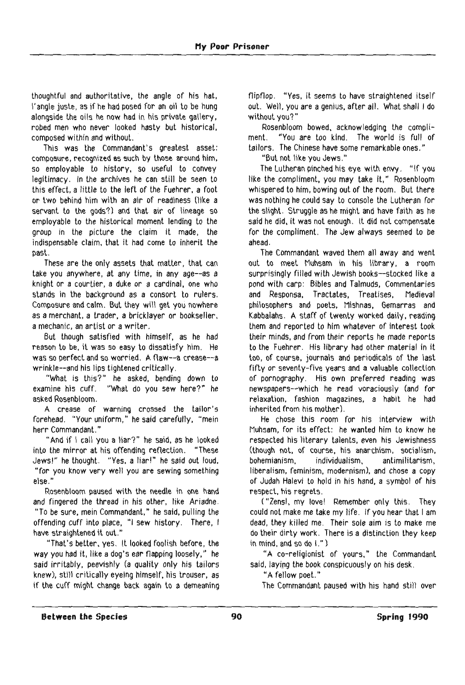thoughtful and authoritative, the angle of his hat, l'angle juste, as if he had posed for an oil to be hung alongside the oils he now had in his private gallery, robed men who never looked hasty but historical, composed within and without.

This was the Commandant's greatest asset: composure, recognized as such by those around him, so employable to history, so useful to convey legitimacy. In the archives he can still be seen to this effect, a little to the left of the Fuehrer, a foot or two behind him with an air of readiness (like a servant to the gods?) and that air of lineage so employable to the historical moment lending to the group in the picture the claim it made, the indispensable claim, that it had come to inherit the past.

These are the only assets that matter, that can take you anywhere, at any time. in any age--as a knight or a courtier, a duke or a cardinal. one who stands in the background as a consort to rulers. Composure and calm. But they will get you nowhere as a merchant, a trader. a bricklayer or bookseller, a mechanic, an artist or a writer.

But though satisfied with himself, as he had reason to be, it was so easy to dissatisfy him. He was so perfect and so worried. A fiaw--a crease--a wrinkle--and his lips tightened critically.

"What is this?" he asked, bending down to examine his cuff. "What do you sew here?" he asked Rosenbloom.

A crease of warning crossed the tailor's forehead. "Your uniform," he said carefully, "mein herr Commandant."

"And if I call you a liar?" he said, as he looked into the mirror at his offending refiection. "These Jews!" he thought. "Yes, a liar!" he said out loud, "for you know very well you are sewing something else."

Rosenbloom paused with the needle in one hand and fingered the thread in his other, like Ariadne. "To be sure, mein Commandant." he said, pulling the offending cuff into place, "I sew history. There, I have straightened it out."

"That's better, yes. It looked foolish before, the way you had it, like a dog's ear flapping loosely," he said irritably, peevishly (a quality only his tailors knew), still critically eyeing himself. his trouser. as if the cuff might change back again to a demeaning flipflop. "Yes, it seems to have straightened itself out. Well, you are a genius. after all. What shall I do without you?"

Rosenbloom bowed, acknowledging the compliment. "You are too kind. The world is full of tailors. The Chinese have some remarkable ones."

"But not like you Jews."

The Lutheran pinched his eye with envy. "If you like the compliment, you may take it," Rosenbloom whispered to him, bowing out of the room. But there was nothing he could say to console the Lutheran for the slight. Struggle as he might and have faith as he said he did, it was not enough. It did not compensate for the compliment. The Jew always seemed to be ahead.

The Commandant waved them all away and went out to meet Muhsam in his library, a room surprisingly filled with Jewish books--stocked like a pond with carp: Bibles and Talmuds, Commentaries and Responsa. Tractates, Treatises, Medieval philosophers and poets. Mishnas. Gemarras and Kabbalahs. A staff of twenty worked daily, reading them and reported to him Whatever of interest took their minds, and from their reports he made reports to the Fuehrer. His library had other material in it too, of course, journals and periodicals of the last fifty or seventy-five years and a valuable collection of pornography. His own preferred reading was newspapers--which he read voraciously (and for relaxation. fashion magazines, a habit he had inherited from his mother).

He chose this room for his interview with Muhsam, for its effect: he wanted him to know he respected his literary talents. even his Jewishness (though not, of course. his anarchism, socialism, bohemianism, individualism. antimilitarism, liberalism, feminism. modernism), and chose a copy of Judah Halevi to hold in his hand, a symbol of his respect, his regrets.

("Zensl, my love! Remember only this. They could not make me take my life. If you hear that I am dead, they killed me. Their sole aim is to make me do their dirty work. There is a distinction they keep in mind. and so do I.")

"A co-religionist of yours," the Commandant said, laying the book conspicuously on his desk.

"A fellow poet."

The Commandant paused with his hand still over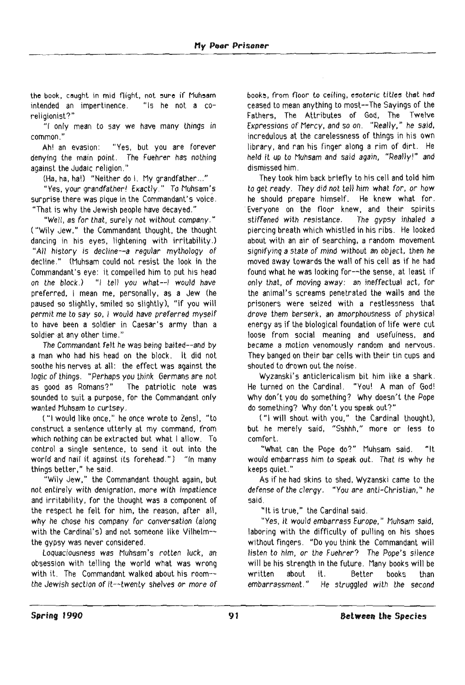the book, caught in mid flight, not sure if Muhsam<br>intended an impertinence. "Is he not a cointended an impertinence. religionist? "

"I only mean to say we have many things in common."

Ah! an evasion: "Yes, but you are forever denying the main point. The Fuehrer has nothing against the Judaic religion."

 $(Ha, ha, ha!)$  "Neither do I. My grandfather..."

"Yes, your grandfather! Exactly." To Muhsam's surprise there was pique in the Commandant's voice. "That is why the Jewish people have decayed."

"Well, as for that, surely not without company." ("Wily Jew," the Commandant thought, the thought dancing in his eyes, lightening with irritability.) "All history is decline--a regular mythology of decline." (Muhsam could not resist the look in the Commandant's eye: it compelled him to put his head on the block.) "I tell you what--I would have preferred. I mean me, personally, as a Jew (he paused so slightly, smiled so slightly). "if you will permit me to say so, I would have preferred myself to have been a soldier in Caesar's army than a soldier at any other time."

The Commandant felt he was being baited--and by a man who had his head on the block. It did not soothe his nerves at all: the effect was against the logic of things. "Perhaps you think Germans are not as good as Romans?" The patriotic note was sounded to suit a purpose, for the Commandant only wanted Muhsam to curtsey.

("I would like once," he once wrote to Zensl. "to construct a sentence utterly at my command, from which nothing can be extracted but what I allow. To control a single sentence, to send it out into the world and nail it against its forehead.") "In many things better," he said.

"Wily Jew," the Commandant thought again, but not entirely with denigration. more with impatience and irritability, for the thought was a component of the respect he felt for him. the reason. after all, why he chose his company for conversation (along with the Cardinal's) and not someone like Vilhelm- the gypsy was never considered.

Loquaciousness was Muhsam's rotten luck, an obsession with telling the world what was wrong with it. The Commandant walked about his room- the Jewish section of it--twenty shelves or more of books. from floor to ceiling, esoteric titles that had ceased to mean anything to most--The Sayings of the Fathers, The Attributes of God. The Twelve Expressions of Mercy, and so on. "Really," he said, incredulous at the carelessness of things in his own library. and ran his finger along a rim of dirt. He held it up to Muhsam and said again, "Really!" and dismissed him.

They took him back briefly to his cell and told him to get ready. They did not tell him what for, or how he should prepare himself. He knew what for. Everyone on the floor knew, and their spirits stiffened with resistance. The gypsy inhaled a piercing breath which whistled in his ribs. He looked about with an air of searching, a random movement signifying a state of mind without an object, then he moved away towards the wall of his cell as if he had found what he was looking for--the sense. at least if only that, of moving away: an ineffectual act, for the animal's screams penetrated the walls and the prisoners were seized with a restlessness that drove them berserk, an amorphousness of physical energy as if the biological foundation of life were cut loose from social meaning and usefulness, and became a motion venomously random and nervous. They banged on their bar cells with their tin cups and shouted to drown out the noise.

Wyzanski's anticlericalism bit him like a shark. He turned on the Cardinal. "You! A man of God! Why don't you do something? Why doesn't the Pope do something? Why don't you speak out?"

("I will shout with you." the Cardinal thought), but he merely said. "Sshhh," more or less to comfort.

"What can the Pope do?" Muhsam said. "It would embarrass him to speak out. That is why he keeps quiet."

As if he had skins to shed. Wyzanski came to the defense of the clergy. "You are anti-Christian," he said.

"It is true," the Cardinal said.

"Yes, it would embarrass Europe," Muhsam said, laboring with the difficulty of pulling on his shoes without fingers. "Do you think the Commandant will listen to him, or the Fuehrer? The Pope's silence will be his strength in the future. Many books will be written about it. Better books than embarrassment." He struggled with the second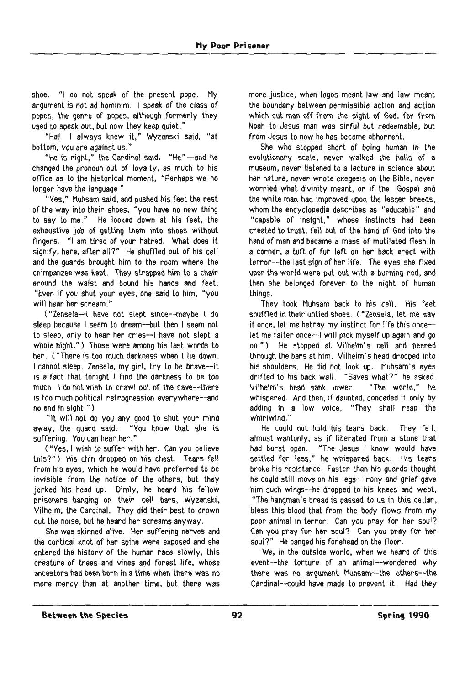shoe. "I do not speak of the present pope. My argument is not ad hominim. I speak of the class of popes, the genre of popes, although formerly they used to speak out, but now they keep quiet."

"Ha! I always knew it:" Wyzanski said, "at bottom, you are against us."

"He is right," the Cardinal said, "He"-and he changed the pronoun out of loyalty, as much to his office as to the historical moment. "Perhaps we no longer have the language."

"Ves," Muhsam said, and pushed his feet the rest of the way into their shoes, "you have no new thing to say to me." He looked down at his feet. the exhaustive job of getting them into shoes without fingers. "I am tired of your hatred. What does it signify, here, after all?" He shuffled out of his cell and the guards brought him to the room where the chimpanzee was kept. They strapped him to a chair around the waist and bound his hands and feet. "Even if you shut your eyes, one said to him. "you will hear her scream."

("Zensela--I have not slept since--maybe I do sleep because I seem to dream--but then I seem not to sleep, only to hear her cries--I have not slept a whole night.") Those were among his last words to her. ("There is too much darkness when I lie down. I cannot sleep. Zensela, my girl, try to be brave--it is a fact that tonight I find the darkness to be too much. I do not wish to crawl out of the cave--there is too much political retrogression everywhere--and no end in sight." )

"It will not do you any good to shut your mind away, the guard said. "You know that she is suffering. You can hear her."

( "Yes, I wish to suffer with her. Can you believe this?") His chin dropped on his chest. Tears fell from his eyes. which he would have preferred to be invisible from the notice of the others, but they jerked his head up. Dimly, he heard his fellow prisoners banging on their cell bars, Wyzanski, Vilhelm, the Cardinal. They did their best to drown out the noise, but he heard her screams anyway.

She was skinned alive. Her suffering nerves and the cortical knot of her spine were exposed and she entered the history of the human race slowly. this creature of trees and vines and forest life, whose ancestors had been born in a lime when there was no more mercy than at another time, but there was

more justice, when logos meant law and law meant the boundary between permissible action and action which cut man off from the sight of God, for from Noah to Jesus man was sinful but redeemable, but from Jesus to now he has become abhorrent.

She who stopped short of being human in the evolutionary scale. never walked the halls of a museum, never listened to a lecture in science about her nature. never wrote exegesis on the Bible, never worried what divinity meant. or if the Gospel and the white man had improved upon the lesser breeds, whom the encyclopedia describes as "educable" and "capable of insight," whose instincts had been created to trust, fell out of the hand of God into the hand of man and became a mass of mutilated flesh in a corner, a tuft of fur left on her back erect with terror--the last sign of her life. The eyes she fixed upon the world were put out with a burning rod, and then she belonged forever to the night of human things.

They took Muhsam back to his cell. His feet shuffled in their untied shoes. ("Zensela, let me say it once, let me betray my instinct for life this once- let me falter once--I will pick myself up again and go on.") He stopped at Vilhelm's cell and peered through the bars at him. Vilhelm's head drooped into his shoulders. He did not look up. Muhsam's eyes drifted to his back wall. "Saves what?" he asked. Vilhelm's head sank lower. "The world." he whispered. And then. if daunled, conceded it only by adding in a low voice, "They shall reap the whirlwind."

He could not hold his tears back. They fell, almost wantonly. as if liberated from a stone that had burst open. "The Jesus I know would have settled for less," he whispered back. His tears broke his resislance. Faster than his guards thought he could still move on his legs--irony and grief gave him such wings--he dropped to his knees and wept, "The hangman's bread is passed to us in this cellar. bless this blood that from the body flows from my

poor animal in terror. Can you pray for her soul? Can you pray for her soul? Can you pray for her soul?" He banged his forehead on the floor.

We, in the outside world. when we heard of this event--the torture of an animal--wondered why there was no argument Muhsam--the others--the Cardinal--could have made to prevent it. Had they